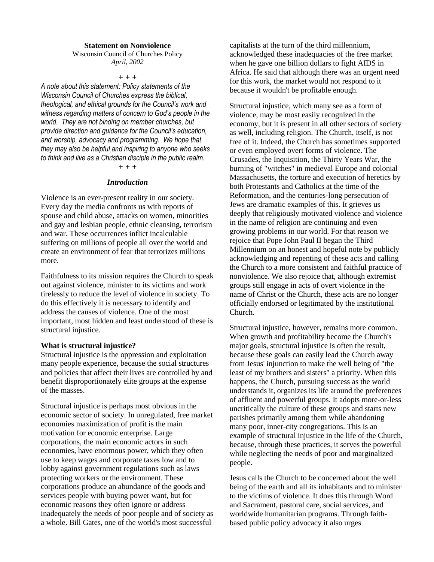### **Statement on Nonviolence**

#### Wisconsin Council of Churches Policy *April, 2002*

 $+ + +$ 

*A note about this statement: Policy statements of the Wisconsin Council of Churches express the biblical, theological, and ethical grounds for the Council's work and witness regarding matters of concern to God's people in the world. They are not binding on member churches, but provide direction and guidance for the Council's education, and worship, advocacy and programming. We hope that they may also be helpful and inspiring to anyone who seeks to think and live as a Christian disciple in the public realm.*

## $+ + +$

### *Introduction*

Violence is an ever-present reality in our society. Every day the media confronts us with reports of spouse and child abuse, attacks on women, minorities and gay and lesbian people, ethnic cleansing, terrorism and war. These occurrences inflict incalculable suffering on millions of people all over the world and create an environment of fear that terrorizes millions more.

Faithfulness to its mission requires the Church to speak out against violence, minister to its victims and work tirelessly to reduce the level of violence in society. To do this effectively it is necessary to identify and address the causes of violence. One of the most important, most hidden and least understood of these is structural injustice.

#### **What is structural injustice?**

Structural injustice is the oppression and exploitation many people experience, because the social structures and policies that affect their lives are controlled by and benefit disproportionately elite groups at the expense of the masses.

Structural injustice is perhaps most obvious in the economic sector of society. In unregulated, free market economies maximization of profit is the main motivation for economic enterprise. Large corporations, the main economic actors in such economies, have enormous power, which they often use to keep wages and corporate taxes low and to lobby against government regulations such as laws protecting workers or the environment. These corporations produce an abundance of the goods and services people with buying power want, but for economic reasons they often ignore or address inadequately the needs of poor people and of society as a whole. Bill Gates, one of the world's most successful

capitalists at the turn of the third millennium, acknowledged these inadequacies of the free market when he gave one billion dollars to fight AIDS in Africa. He said that although there was an urgent need for this work, the market would not respond to it because it wouldn't be profitable enough.

Structural injustice, which many see as a form of violence, may be most easily recognized in the economy, but it is present in all other sectors of society as well, including religion. The Church, itself, is not free of it. Indeed, the Church has sometimes supported or even employed overt forms of violence. The Crusades, the Inquisition, the Thirty Years War, the burning of "witches" in medieval Europe and colonial Massachusetts, the torture and execution of heretics by both Protestants and Catholics at the time of the Reformation, and the centuries-long persecution of Jews are dramatic examples of this. It grieves us deeply that religiously motivated violence and violence in the name of religion are continuing and even growing problems in our world. For that reason we rejoice that Pope John Paul II began the Third Millennium on an honest and hopeful note by publicly acknowledging and repenting of these acts and calling the Church to a more consistent and faithful practice of nonviolence. We also rejoice that, although extremist groups still engage in acts of overt violence in the name of Christ or the Church, these acts are no longer officially endorsed or legitimated by the institutional Church.

Structural injustice, however, remains more common. When growth and profitability become the Church's major goals, structural injustice is often the result, because these goals can easily lead the Church away from Jesus' injunction to make the well being of "the least of my brothers and sisters" a priority. When this happens, the Church, pursuing success as the world understands it, organizes its life around the preferences of affluent and powerful groups. It adopts more-or-less uncritically the culture of these groups and starts new parishes primarily among them while abandoning many poor, inner-city congregations. This is an example of structural injustice in the life of the Church, because, through these practices, it serves the powerful while neglecting the needs of poor and marginalized people.

Jesus calls the Church to be concerned about the well being of the earth and all its inhabitants and to minister to the victims of violence. It does this through Word and Sacrament, pastoral care, social services, and worldwide humanitarian programs. Through faithbased public policy advocacy it also urges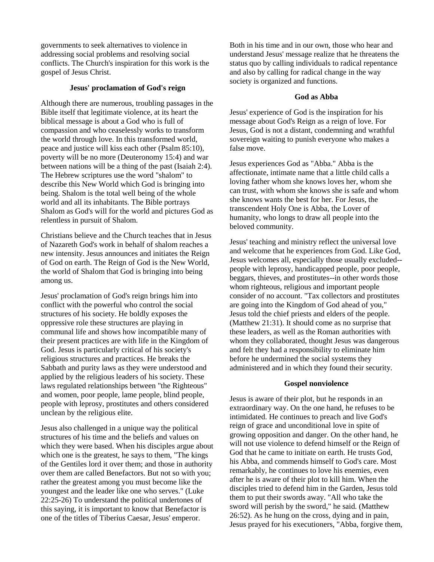governments to seek alternatives to violence in addressing social problems and resolving social conflicts. The Church's inspiration for this work is the gospel of Jesus Christ.

### **Jesus' proclamation of God's reign**

Although there are numerous, troubling passages in the Bible itself that legitimate violence, at its heart the biblical message is about a God who is full of compassion and who ceaselessly works to transform the world through love. In this transformed world, peace and justice will kiss each other (Psalm 85:10), poverty will be no more (Deuteronomy 15:4) and war between nations will be a thing of the past (Isaiah 2:4). The Hebrew scriptures use the word "shalom" to describe this New World which God is bringing into being. Shalom is the total well being of the whole world and all its inhabitants. The Bible portrays Shalom as God's will for the world and pictures God as relentless in pursuit of Shalom.

Christians believe and the Church teaches that in Jesus of Nazareth God's work in behalf of shalom reaches a new intensity. Jesus announces and initiates the Reign of God on earth. The Reign of God is the New World, the world of Shalom that God is bringing into being among us.

Jesus' proclamation of God's reign brings him into conflict with the powerful who control the social structures of his society. He boldly exposes the oppressive role these structures are playing in communal life and shows how incompatible many of their present practices are with life in the Kingdom of God. Jesus is particularly critical of his society's religious structures and practices. He breaks the Sabbath and purity laws as they were understood and applied by the religious leaders of his society. These laws regulated relationships between "the Righteous" and women, poor people, lame people, blind people, people with leprosy, prostitutes and others considered unclean by the religious elite.

Jesus also challenged in a unique way the political structures of his time and the beliefs and values on which they were based. When his disciples argue about which one is the greatest, he says to them, "The kings of the Gentiles lord it over them; and those in authority over them are called Benefactors. But not so with you; rather the greatest among you must become like the youngest and the leader like one who serves." (Luke 22:25-26) To understand the political undertones of this saying, it is important to know that Benefactor is one of the titles of Tiberius Caesar, Jesus' emperor.

Both in his time and in our own, those who hear and understand Jesus' message realize that he threatens the status quo by calling individuals to radical repentance and also by calling for radical change in the way society is organized and functions.

### **God as Abba**

Jesus' experience of God is the inspiration for his message about God's Reign as a reign of love. For Jesus, God is not a distant, condemning and wrathful sovereign waiting to punish everyone who makes a false move.

Jesus experiences God as "Abba." Abba is the affectionate, intimate name that a little child calls a loving father whom she knows loves her, whom she can trust, with whom she knows she is safe and whom she knows wants the best for her. For Jesus, the transcendent Holy One is Abba, the Lover of humanity, who longs to draw all people into the beloved community.

Jesus' teaching and ministry reflect the universal love and welcome that he experiences from God. Like God, Jesus welcomes all, especially those usually excluded- people with leprosy, handicapped people, poor people, beggars, thieves, and prostitutes--in other words those whom righteous, religious and important people consider of no account. "Tax collectors and prostitutes are going into the Kingdom of God ahead of you," Jesus told the chief priests and elders of the people. (Matthew 21:31). It should come as no surprise that these leaders, as well as the Roman authorities with whom they collaborated, thought Jesus was dangerous and felt they had a responsibility to eliminate him before he undermined the social systems they administered and in which they found their security.

# **Gospel nonviolence**

Jesus is aware of their plot, but he responds in an extraordinary way. On the one hand, he refuses to be intimidated. He continues to preach and live God's reign of grace and unconditional love in spite of growing opposition and danger. On the other hand, he will not use violence to defend himself or the Reign of God that he came to initiate on earth. He trusts God, his Abba, and commends himself to God's care. Most remarkably, he continues to love his enemies, even after he is aware of their plot to kill him. When the disciples tried to defend him in the Garden, Jesus told them to put their swords away. "All who take the sword will perish by the sword," he said. (Matthew 26:52). As he hung on the cross, dying and in pain, Jesus prayed for his executioners, "Abba, forgive them,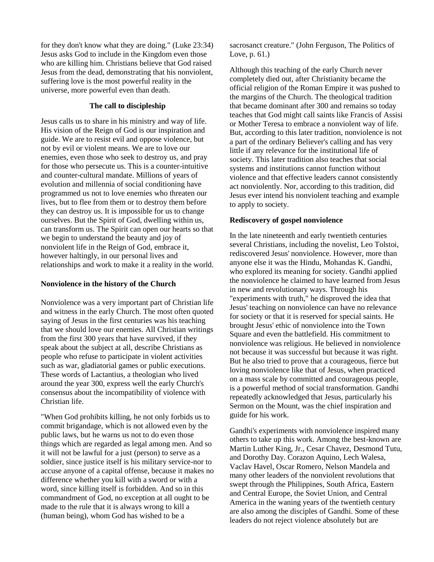for they don't know what they are doing." (Luke 23:34) Jesus asks God to include in the Kingdom even those who are killing him. Christians believe that God raised Jesus from the dead, demonstrating that his nonviolent, suffering love is the most powerful reality in the universe, more powerful even than death.

# **The call to discipleship**

Jesus calls us to share in his ministry and way of life. His vision of the Reign of God is our inspiration and guide. We are to resist evil and oppose violence, but not by evil or violent means. We are to love our enemies, even those who seek to destroy us, and pray for those who persecute us. This is a counter-intuitive and counter-cultural mandate. Millions of years of evolution and millennia of social conditioning have programmed us not to love enemies who threaten our lives, but to flee from them or to destroy them before they can destroy us. It is impossible for us to change ourselves. But the Spirit of God, dwelling within us, can transform us. The Spirit can open our hearts so that we begin to understand the beauty and joy of nonviolent life in the Reign of God, embrace it, however haltingly, in our personal lives and relationships and work to make it a reality in the world.

# **Nonviolence in the history of the Church**

Nonviolence was a very important part of Christian life and witness in the early Church. The most often quoted saying of Jesus in the first centuries was his teaching that we should love our enemies. All Christian writings from the first 300 years that have survived, if they speak about the subject at all, describe Christians as people who refuse to participate in violent activities such as war, gladiatorial games or public executions. These words of Lactantius, a theologian who lived around the year 300, express well the early Church's consensus about the incompatibility of violence with Christian life.

"When God prohibits killing, he not only forbids us to commit brigandage, which is not allowed even by the public laws, but he warns us not to do even those things which are regarded as legal among men. And so it will not be lawful for a just (person) to serve as a soldier, since justice itself is his military service-nor to accuse anyone of a capital offense, because it makes no difference whether you kill with a sword or with a word, since killing itself is forbidden. And so in this commandment of God, no exception at all ought to be made to the rule that it is always wrong to kill a (human being), whom God has wished to be a

sacrosanct creature." (John Ferguson, The Politics of Love, p. 61.)

Although this teaching of the early Church never completely died out, after Christianity became the official religion of the Roman Empire it was pushed to the margins of the Church. The theological tradition that became dominant after 300 and remains so today teaches that God might call saints like Francis of Assisi or Mother Teresa to embrace a nonviolent way of life. But, according to this later tradition, nonviolence is not a part of the ordinary Believer's calling and has very little if any relevance for the institutional life of society. This later tradition also teaches that social systems and institutions cannot function without violence and that effective leaders cannot consistently act nonviolently. Nor, according to this tradition, did Jesus ever intend his nonviolent teaching and example to apply to society.

# **Rediscovery of gospel nonviolence**

In the late nineteenth and early twentieth centuries several Christians, including the novelist, Leo Tolstoi, rediscovered Jesus' nonviolence. However, more than anyone else it was the Hindu, Mohandas K. Gandhi, who explored its meaning for society. Gandhi applied the nonviolence he claimed to have learned from Jesus in new and revolutionary ways. Through his "experiments with truth," he disproved the idea that Jesus' teaching on nonviolence can have no relevance for society or that it is reserved for special saints. He brought Jesus' ethic of nonviolence into the Town Square and even the battlefield. His commitment to nonviolence was religious. He believed in nonviolence not because it was successful but because it was right. But he also tried to prove that a courageous, fierce but loving nonviolence like that of Jesus, when practiced on a mass scale by committed and courageous people, is a powerful method of social transformation. Gandhi repeatedly acknowledged that Jesus, particularly his Sermon on the Mount, was the chief inspiration and guide for his work.

Gandhi's experiments with nonviolence inspired many others to take up this work. Among the best-known are Martin Luther King, Jr., Cesar Chavez, Desmond Tutu, and Dorothy Day. Corazon Aquino, Lech Walesa, Vaclav Havel, Oscar Romero, Nelson Mandela and many other leaders of the nonviolent revolutions that swept through the Philippines, South Africa, Eastern and Central Europe, the Soviet Union, and Central America in the waning years of the twentieth century are also among the disciples of Gandhi. Some of these leaders do not reject violence absolutely but are